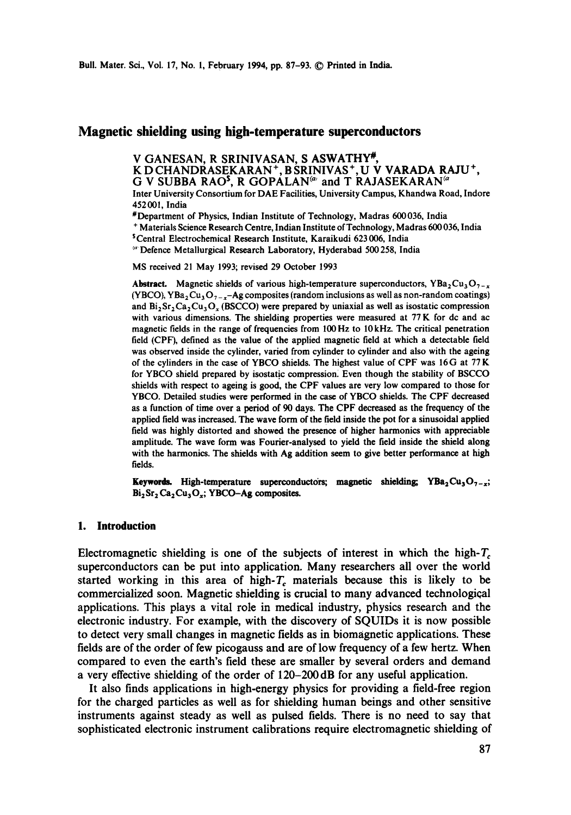# **Magnetic shielding using high-temperature superconductors**

**V GANESAN, R SRINIVASAN, S ASWATHY\*,** 

K D CHANDRASEKARAN +, B SRINIVAS +, U V VARADA R AJU +,

G V SUBBA RAO<sup>5</sup>, R GOPALAN<sup>(a)</sup> and T RAJASEKARAN<sup>(a</sup>

Inter University Consortium for DAE Facilities, University Campus, Khandwa Road, Indore 452001, India

#Department of Physics, Indian Institute of Technology, Madras 600036, India

+ Materials Science Research Centre, Indian Institute of Technology, Madras 600 036, India

~Central Electrochemical Research Institute, Karaikudi 623006, India

<sup>60</sup> Defence Metallurgical Research Laboratory, Hyderabad 500 258, India

MS received 21 May 1993; revised 29 October 1993

**Abstract.** Magnetic shields of various high-temperature superconductors,  $YBa<sub>2</sub>Cu<sub>3</sub>O<sub>7-x</sub>$ (YBCO), YBa<sub>2</sub> Cu<sub>3</sub> O<sub>7-x</sub>-Ag composites (random inclusions as well as non-random coatings) and  $Bi_2Sr_2Ca_2Cu_3O_x$  (BSCCO) were prepared by uniaxial as well as isostatic compression with various dimensions. The shielding properties were measured at 77 K for dc and ac magnetic fields in the range of frequencies from 100Hz to 10kHz. The critical penetration field (CPF), defined as the value of the applied magnetic field at which a detectable field was observed inside the cylinder, varied from cylinder to cylinder and also with the ageing of the cylinders in the case of YBCO shields. The highest value of CPF was 16G at 77 K for YBCO shield prepared by isostatic compression. Even though the stability of BSCCO shields with respect to ageing is good, the CPF values are very low compared to those for YBCO. Detailed studies were performed in the case of YBCO shields. The CPF decreased as a function of time over a period of 90 days. The CPF decreased as the frequency of the applied field was increased. The wave form of the field inside the pot for a sinusoidal applied field was highly distorted and showed the presence of higher harmonics with appreciable amplitude. The wave form was Fourier-analysed to yield the field inside the shield along with the harmonics. The shields with Ag addition seem to give better performance at high fields.

**Keywords.** High-temperature superconductors; magnetic shielding; YBa<sub>2</sub>Cu<sub>3</sub>O<sub>7-x</sub>;  $Bi<sub>2</sub>Sr<sub>2</sub> Ca<sub>2</sub>Cu<sub>3</sub>O<sub>x</sub>; YBCO-Ag composites.$ 

### **1. Introduction**

Electromagnetic shielding is one of the subjects of interest in which the high- $T_c$ superconductors can be put into application. Many researchers all over the world started working in this area of high- $T_c$  materials because this is likely to be commercialized soon. Magnetic shielding is crucial to many advanced technological applications. This plays a vital role in medical industry, physics research and the electronic industry. For example, with the discovery of SQUIDs it is now possible to detect very small changes in magnetic fields as in biomagnetic applications. These fields are of the order of few picogauss and are of low frequency of a few hertz. When compared to even the earth's field these are smaller by several orders and demand **a** very effective shielding of the order of 120-200dB for any useful application.

It also finds applications in high-energy physics for providing a field-free region for the charged particles as well as for shielding human beings and other sensitive instruments against steady as well as pulsed fields. There is no need to say that sophisticated electronic instrument calibrations require electromagnetic shielding of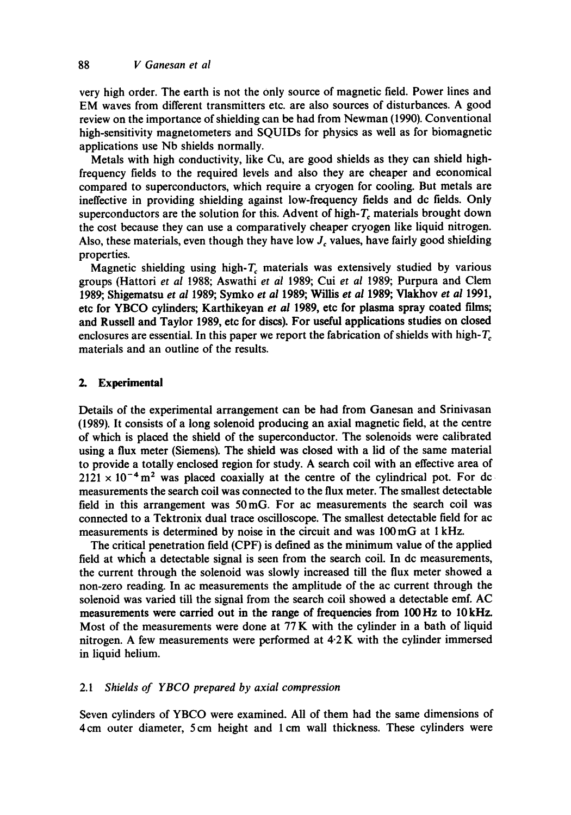very high order. The earth is not the only source of magnetic field. Power lines and EM waves from different transmitters etc. are also sources of disturbances. A good review on the importance of shielding can be had from Newman (1990). Conventional high-sensitivity magnetometers and SQUIDs for physics as well as for biomagnetic applications use Nb shields normally.

Metals with high conductivity, like Cu, are good shields as they can shield highfrequency fields to the required levels and also they are cheaper and economical compared to superconductors, which require a cryogen for cooling. But metals are ineffective in providing shielding against low-frequency fields and dc fields. Only superconductors are the solution for this. Advent of high- $T_c$  materials brought down the cost because they can use a comparatively cheaper cryogen like liquid nitrogen. Also, these materials, even though they have low  $J_c$  values, have fairly good shielding properties.

Magnetic shielding using high- $T_c$  materials was extensively studied by various groups (Hattori *et al* 1988; Aswathi *et al* 1989; Cui *et al* 1989; Purpura and Clem 1989; Shigematsu *et al* 1989; Symko *et al* 1989; Willis *et al* 1989; Vlakhov *et al* 1991, etc for YBCO cylinders; Karthikeyan *et al* 1989, etc for plasma spray coated films; and Russell and Taylor I989, etc for discs). For useful applications studies on dosed enclosures are essential. In this paper we report the fabrication of shields with high- $T_c$ materials and an outline of the results.

#### **2. Experimental**

Details of the experimental arrangement can be had from Ganesan and Srinivasan (1989). It consists of a long solenoid producing an axial magnetic field, at the centre of which is placed the shield of the superconductor. The solenoids were calibrated using a flux meter (Siemens). The shield was closed with a lid of the same material to provide a totally enclosed region for study. A search coil with an effective area of  $2121 \times 10^{-4}$  m<sup>2</sup> was placed coaxially at the centre of the cylindrical pot. For dc measurements the search coil was connected to the flux meter. The smallest detectable field in this arrangement was 50mG. For ac measurements the search coil was connected to a Tektronix dual trace oscilloscope. The smallest detectable field for ac measurements is determined by noise in the circuit and was 100mG at I kHz.

The critical penetration field (CPF) is defined as the minimum value of the applied field at which a detectable signal is seen from the search coil. In dc measurements, the current through the solenoid was slowly increased till the flux meter showed a non-zero reading. In ac measurements the amplitude of the ac current through the solenoid was varied till the signal from the search coil showed a detectable emf. AC measurements were carried out in the range of frequencies from 100 Hz to 10 kHz. Most of the measurements were done at 77 K with the cylinder in a bath of liquid nitrogen. A few measurements were performed at 4.2 K with the cylinder immersed in liquid helium.

#### *2.1 Shields of YBCO prepared by axial compression*

Seven cylinders of YBCO were examined. All of them had the same dimensions of 4cm outer diameter, 5 cm height and 1 cm wall thickness. These cylinders were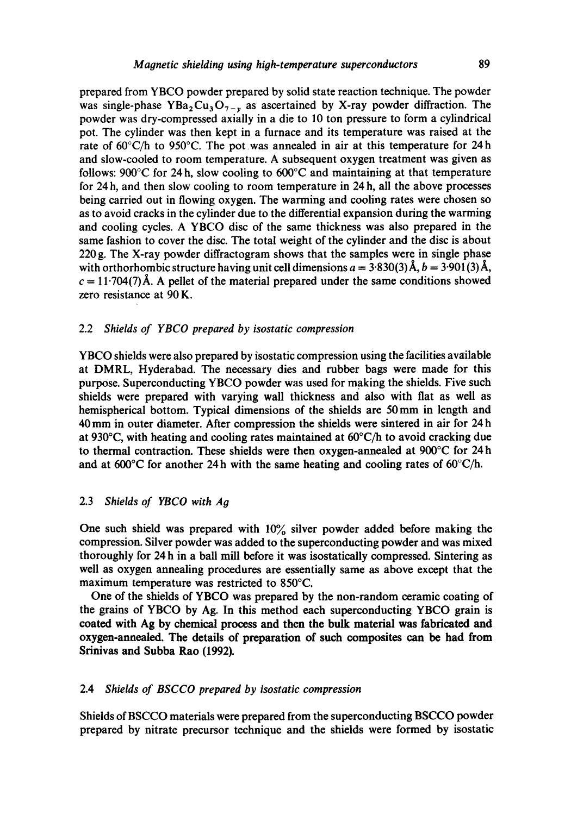prepared from YBCO powder prepared by solid state reaction technique. The powder was single-phase YBa<sub>2</sub>Cu<sub>3</sub>O<sub>7-y</sub> as ascertained by X-ray powder diffraction. The powder was dry-compressed axially in a die to 10 ton pressure to form a cylindrical pot. The cylinder was then kept in a furnace and its temperature was raised at the rate of  $60^{\circ}$ C/h to 950°C. The pot was annealed in air at this temperature for 24h and slow-cooled to room temperature. A subsequent oxygen treatment was given as follows: 900 $^{\circ}$ C for 24 h, slow cooling to 600 $^{\circ}$ C and maintaining at that temperature for 24 h, and then slow cooling to room temperature in 24 h, all the above processes being carried out in flowing oxygen. The warming and cooling rates were chosen so as to avoid cracks in the cylinder due to the differential expansion during the warming and cooling cycles. A YBCO disc of the same thickness was also prepared in the same fashion to cover the disc. The total weight of the cylinder and the disc is about 220 g. The X-ray powder diffractogram shows that the samples were in single phase with orthorhombic structure having unit cell dimensions  $a = 3.830(3)$  Å,  $b = 3.901(3)$  Å,  $c = 11.704(7)~\text{\AA}$ . A pellet of the material prepared under the same conditions showed zero resistance at 90 K.

## 2.2 *Shields of YBCO prepared by isostatic compression*

YBCO shields were also prepared by isostatic compression using the facilities available at DMRL, Hyderabad. The necessary dies and rubber bags were made for this purpose. Superconducting YBCO powder was used for making the shields. Five such shields were prepared with varying wall thickness and also with fiat as well as hemispherical bottom. Typical dimensions of the shields are 50mm in length and 40mm in outer diameter. After compression the shields were sintered in air for 24h at 930°C, with heating and cooling rates maintained at 60°C/h to avoid cracking due to thermal contraction. These shields were then oxygen-annealed at 900°C for 24 h and at  $600^{\circ}$ C for another 24 h with the same heating and cooling rates of  $60^{\circ}$ C/h.

#### 2.3 *Shields of YBCO with Ag*

One such shield was prepared with 10% silver powder added before making the compression. Silver powder was added to the superconducting powder and was mixed thoroughly for 24 h in a ball mill before it was isostatically compressed. Sintering as well as oxygen annealing procedures are essentially same as above except that the maximum temperature was restricted to 850°C.

One of the shields of YBCO was prepared by the non-random ceramic coating of the grains of YBCO by Ag. In this method each superconducting YBCO grain is **coated with Ag by chemical process and then the bulk material was** fabricated and **oxygen-annealed. The details of preparation of such composites can be had from Srinivas and Subba Rao (1992).** 

#### 2.4 *Shields of BSCCO prepared by isostatic compression*

Shields of BSCCO materials were prepared from the superconducting BSCCO powder prepared by nitrate precursor technique and the shields were formed by isostatic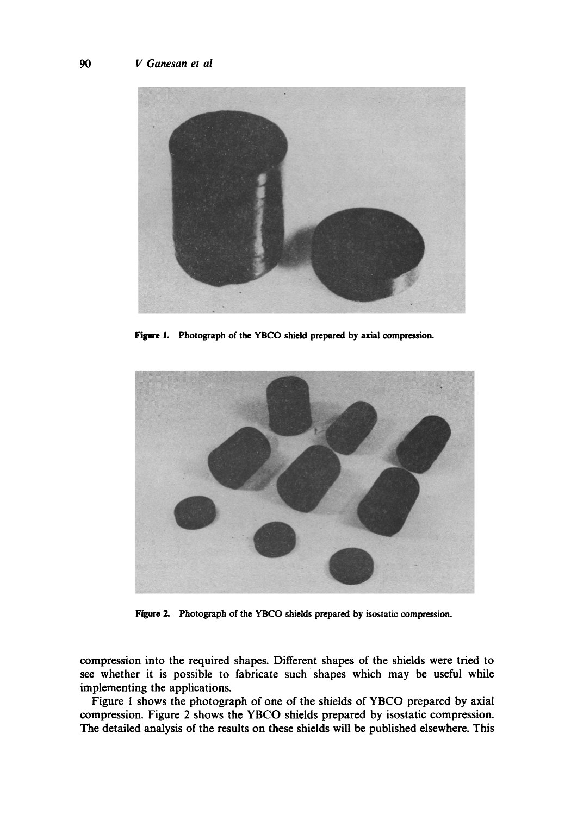

Figure 1. Photograph of the YBCO shield prepared by axial **compression.** 



Figure 2. Photograph of the YBCO shields prepared by isostatic compression.

compression into the required shapes. Different shapes of the shields were tried to see whether it is possible to fabricate such shapes which may be useful while implementing the applications.

Figure 1 shows the photograph of one of the shields of YBCO prepared by axial compression. Figure 2 shows the YBCO shields prepared by isostatic compression. The detailed analysis of the results on these shields will be published elsewhere. This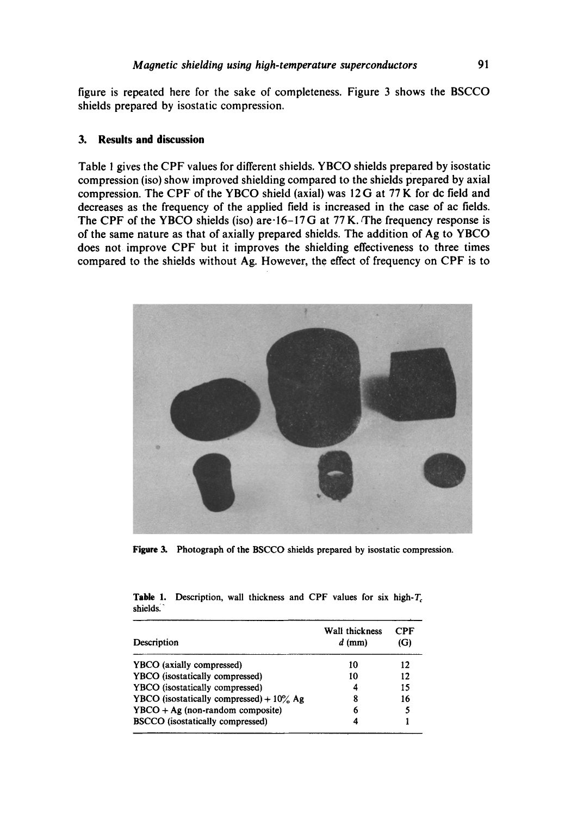figure is repeated here for the sake of completeness. Figure 3 shows the BSCCO shields prepared by isostatic compression,

## **3. Results and discussion**

Table ! gives the CPF values for different shields. YBCO shields prepared by isostatic compression (iso) show improved shielding compared to the shields prepared by axial compression. The CPF of the YBCO shield (axial) was 12G at 77 K for dc field and decreases as the frequency of the applied field is increased in the case of ac fields. The CPF of the YBCO shields (iso) are  $16-17$  G at 77 K. The frequency response is of the same nature as that of axially prepared shields. The addition of Ag to YBCO does not improve CPF but it improves the shielding effectiveness to three times compared to the shields without Ag. However, the effect of frequency on CPF is to



**Figure 3.** Photograph of the BSCCO shields prepared by isostatic compression.

**Table 1.** Description, wall thickness and CPF values for six high-T<sub>c</sub> shields.

| Description                                 | Wall thickness<br>$d$ (mm) | CPF<br>(G) |
|---------------------------------------------|----------------------------|------------|
| YBCO (axially compressed)                   | 10                         | 12         |
| YBCO (isostatically compressed)             | 10                         | 12         |
| YBCO (isostatically compressed)             | 4                          | 15         |
| YBCO (isostatically compressed) + $10\%$ Ag | 8                          | 16         |
| $YBCO + Ag (non-random composite)$          | 6                          |            |
| <b>BSCCO</b> (isostatically compressed)     |                            |            |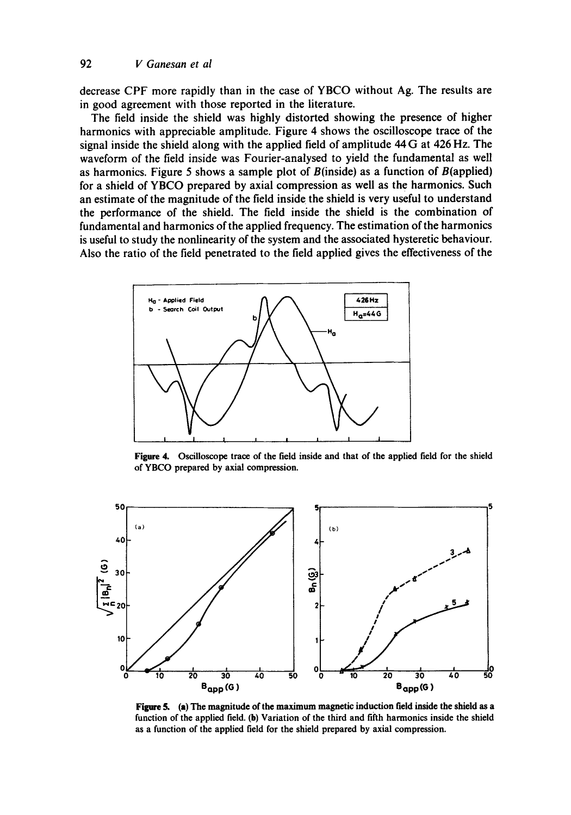decrease CPF more rapidly than in the case of YBCO without Ag. The results are in good agreement with those reported in the literature.

The field inside the shield was highly distorted showing the presence of higher harmonics with appreciable amplitude. Figure 4 shows the oscilloscope trace of the signal inside the shield along with the applied field of amplitude 44 G at 426 Hz. The waveform of the field inside was Fourier-analysed to yield the fundamental as well as harmonics. Figure 5 shows a sample plot of  $B$ (inside) as a function of  $B$ (applied) for a shield of YBCO prepared by axial compression as well as the harmonics. Such an estimate of the magnitude of the field inside the shield is very useful to understand the performance of the shield. The field inside the shield is the combination of fundamental and harmonics of the applied frequency. The estimation of the harmonics is useful to study the nonlinearity of the system and the associated hysteretic behaviour. Also the ratio of the field penetrated to the field applied gives the effectiveness of the



**Figure** 4. Oscilloscope trace of the field inside and that of **the applied** field for the shield of YBCO prepared by axial compression.



Figure 5. (a) The magnitude of the maximum magnetic induction field inside the shield as a function of the applied field. (b) Variation of the third and fifth harmonics inside the shield as a function of the applied field for the shield prepared by axial compression.